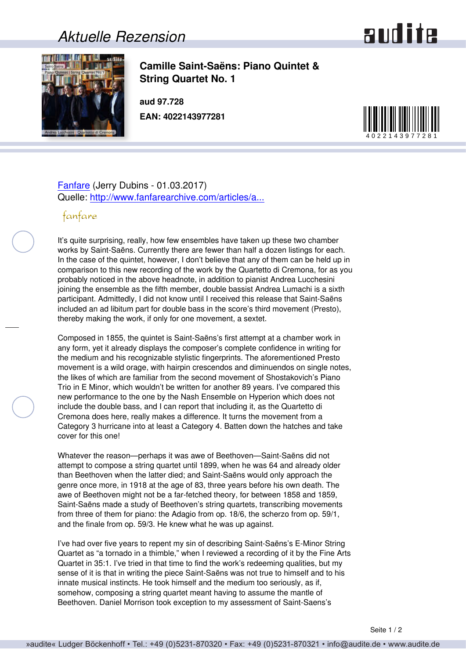## *Aktuelle Rezension*





**Camille Saint-Saëns: Piano Quintet & String Quartet No. 1**

**aud 97.728 EAN: 4022143977281**



## [Fanfare](http://www.fanfaremag.com/) (Jerry Dubins - 01.03.2017) Quelle: [http://www.fanfarearchive.com/articles/a...](http://www.fanfarearchive.com/articles/atop/40_5/4052900.az_SAINT_SAENS_Piano_Quintet.html)

## fanfare

It's quite surprising, really, how few ensembles have taken up these two chamber works by Saint-Saëns. Currently there are fewer than half a dozen listings for each. In the case of the quintet, however, I don't believe that any of them can be held up in comparison to this new recording of the work by the Quartetto di Cremona, for as you probably noticed in the above headnote, in addition to pianist Andrea Lucchesini joining the ensemble as the fifth member, double bassist Andrea Lumachi is a sixth participant. Admittedly, I did not know until I received this release that Saint-Saëns included an ad libitum part for double bass in the score's third movement (Presto), thereby making the work, if only for one movement, a sextet.

Composed in 1855, the quintet is Saint-Saëns's first attempt at a chamber work in any form, yet it already displays the composer's complete confidence in writing for the medium and his recognizable stylistic fingerprints. The aforementioned Presto movement is a wild orage, with hairpin crescendos and diminuendos on single notes, the likes of which are familiar from the second movement of Shostakovich's Piano Trio in E Minor, which wouldn't be written for another 89 years. I've compared this new performance to the one by the Nash Ensemble on Hyperion which does not include the double bass, and I can report that including it, as the Quartetto di Cremona does here, really makes a difference. It turns the movement from a Category 3 hurricane into at least a Category 4. Batten down the hatches and take cover for this one!

Whatever the reason—perhaps it was awe of Beethoven—Saint-Saëns did not attempt to compose a string quartet until 1899, when he was 64 and already older than Beethoven when the latter died; and Saint-Saëns would only approach the genre once more, in 1918 at the age of 83, three years before his own death. The awe of Beethoven might not be a far-fetched theory, for between 1858 and 1859, Saint-Saëns made a study of Beethoven's string quartets, transcribing movements from three of them for piano: the Adagio from op. 18/6, the scherzo from op. 59/1, and the finale from op. 59/3. He knew what he was up against.

I've had over five years to repent my sin of describing Saint-Saëns's E-Minor String Quartet as "a tornado in a thimble," when I reviewed a recording of it by the Fine Arts Quartet in 35:1. I've tried in that time to find the work's redeeming qualities, but my sense of it is that in writing the piece Saint-Saëns was not true to himself and to his innate musical instincts. He took himself and the medium too seriously, as if, somehow, composing a string quartet meant having to assume the mantle of Beethoven. Daniel Morrison took exception to my assessment of Saint-Saens's